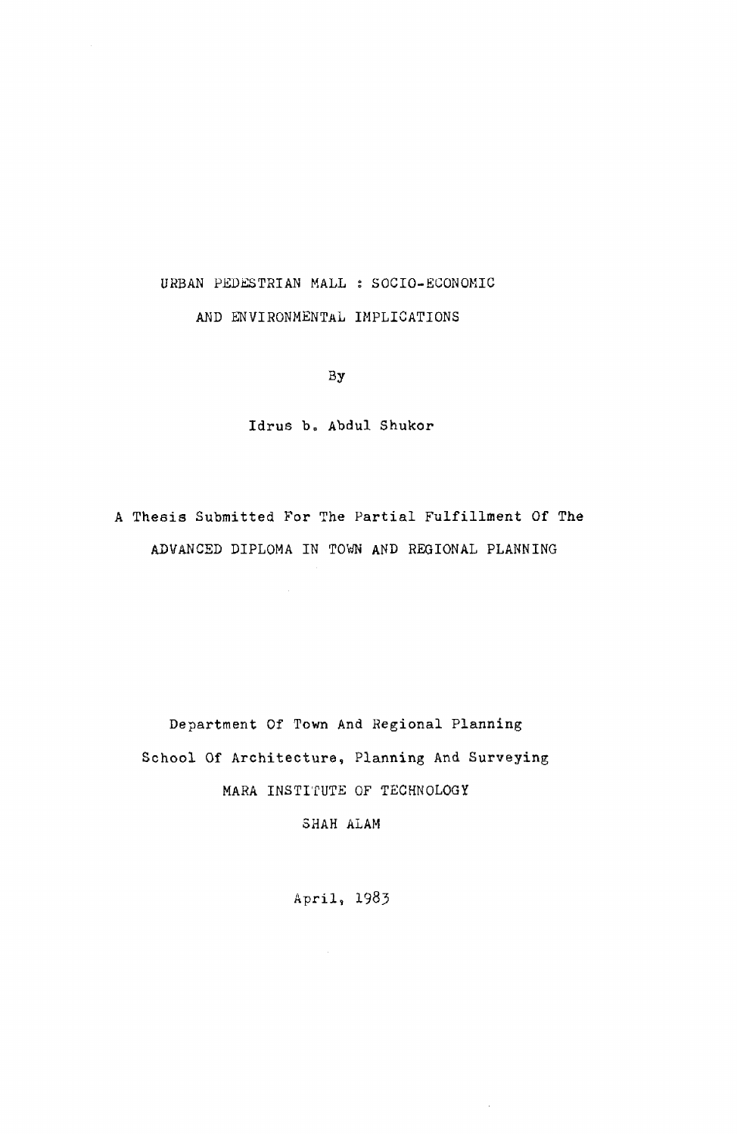# URBAN PEDESTRIAN MALL : SOCIO-ECONOMIC AND ENVIRONMENTAL IMPLICATIONS

By

Idrus b. Abdul Shukor

A Thesis Submitted For The Partial Fulfillment Of The ADVANCED DIPLOMA IN TOWN AND REGIONAL PLANNING

Department Of Town And Regional Planning School Of Architecture, Planning And Surveying MARA INSTITUTE OF TECHNOLOGY

SHAH ALAM

April, 1985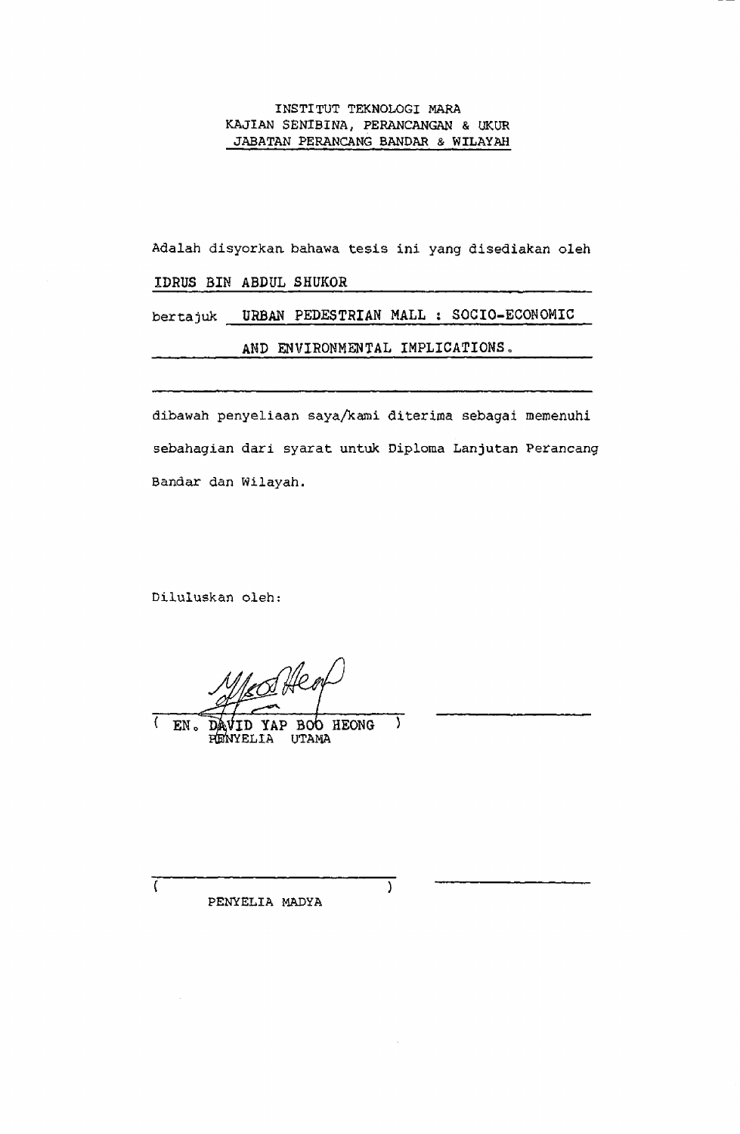#### INSTITUT TEKNOLOGI MARA KAJIAN SENIBINA, PERANCANGAN & UKUR JABATAN PERANCANG BANDAR & WILAYAH

Adalah disyorkaa bahawa tesis ini yang disediakan oleh

## IDRUS BIN ABDUL SHUKOR

bertajuk URBAN PEDESTRIAN MALL ; SOCIO-ECONOMIC

### AND ENVIRONMENTAL IMPLICATIONS,

dibawah penyeliaan saya/kami diterima sebagai memenuhi sebahagian dari syarat untuk Diploma Lanjutan Perancang Bandar dan Wilayah.

 $\overline{\phantom{a}}$ 

Diluluskan oleh;

Alen

YAP BOO HEONG  $\mathcal{L}_{\mathcal{L}}$ EN. D PENYELIA UTAMA

 $\epsilon$ 

PENYELIA MADYA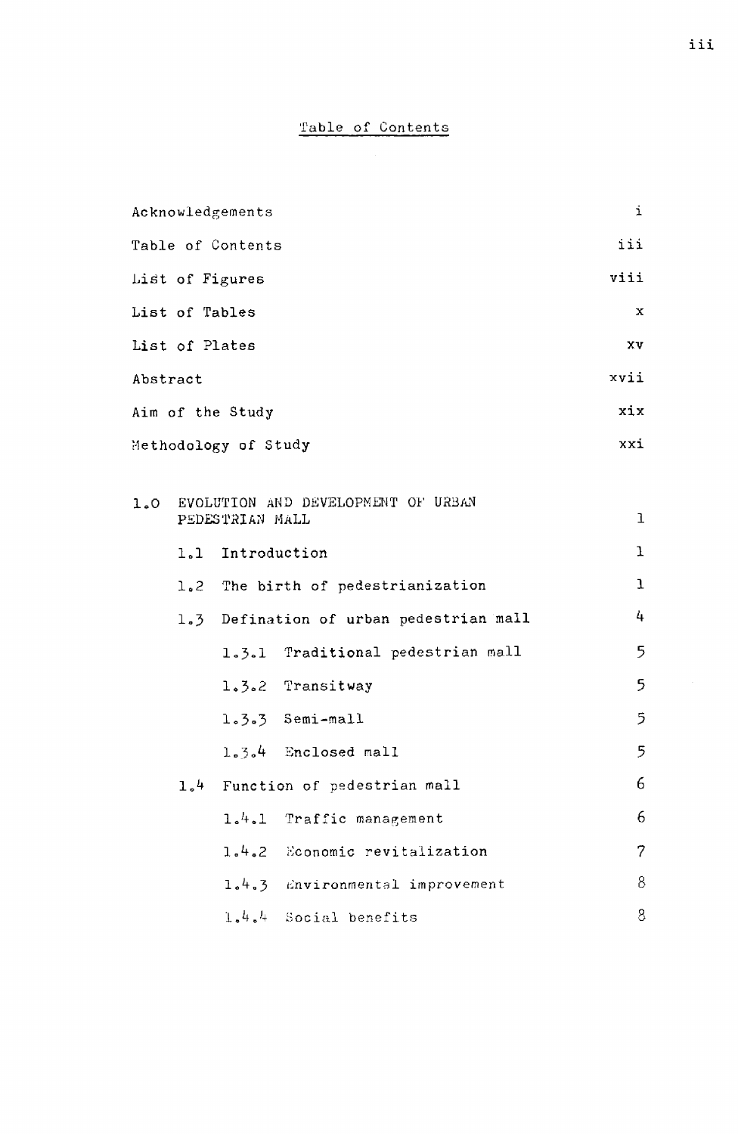## Table of Contents

| Acknowledgements                                          |                                         | i              |
|-----------------------------------------------------------|-----------------------------------------|----------------|
| Table of Contents                                         |                                         | iii            |
| List of Figures                                           |                                         | viii           |
| List of Tables                                            |                                         | x              |
| List of Plates                                            |                                         | ΧV             |
| Abstract                                                  |                                         | xvii           |
| Aim of the Study                                          |                                         | xix            |
| Methodology of Study                                      |                                         | xxi            |
|                                                           |                                         |                |
| 1.0 EVOLUTION AND DEVELOPMENT OF URBAN<br>PEDESTRIAN MALL |                                         | ı              |
|                                                           | 1.1 Introduction                        | ı              |
|                                                           | 1.2 The birth of pedestrianization      | $\mathbf{I}$   |
|                                                           | 1.3 Defination of urban pedestrian mall | 4              |
|                                                           | 1.3.1 Traditional pedestrian mall       | 5              |
|                                                           | 1.3.2 Transitway                        | 5              |
|                                                           | 1.3.3 Semi-mall                         | 5              |
|                                                           | 1.3.4 Enclosed mall                     | 5              |
|                                                           | 1.4 Function of pedestrian mall         | 6              |
|                                                           | 1.4.1 Traffic management                | 6              |
|                                                           | 1.4.2 Economic revitalization           | $\overline{7}$ |
|                                                           | 1.4.3 Environmental improvement         | 8              |
|                                                           | 1.4.4 Social benefits                   | 8              |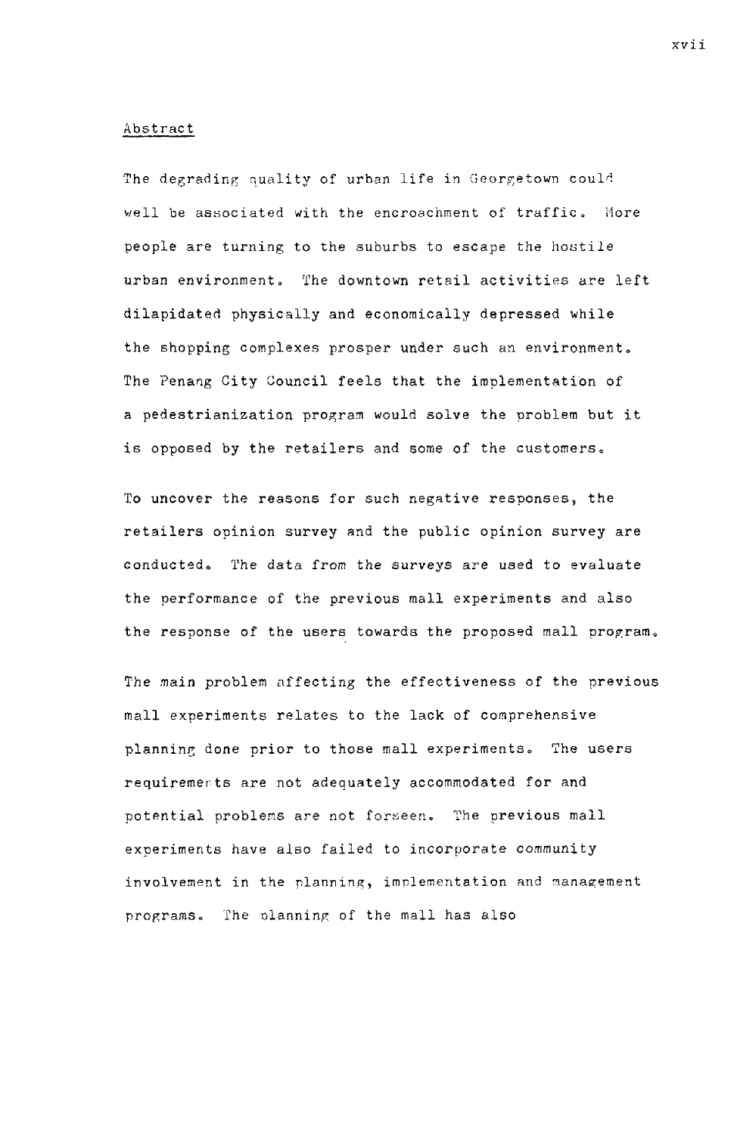#### Abstract

The degrading quality of urban life in Georgetown could well be associated with the encroachment of traffic. More people are turning to the suburbs to escape the hostile urban environment. The downtown retail activities are left dilapidated physically and economically depressed while the shopping complexes prosper under such an environment. The Penang City Council feels that the implementation of a pedestrianization program would solve the problem but it is opposed by the retailers and some of the customers.

To uncover the reasons for such negative responses, the retailers opinion survey and the public opinion survey are conducted. The data from the surveys are used to evaluate the performance of the previous mall experiments and also the response of the users towards the proposed mall program.

The main problem affecting the effectiveness of the previous mall experiments relates to the lack of comprehensive planning done prior to those mall experiments. The users requirements are not adequately accommodated for and potential problems are not foraeen. The previous mall experiments have also failed to incorporate community involvement in the planning, implementation and management programs. The olanning of the mall has also